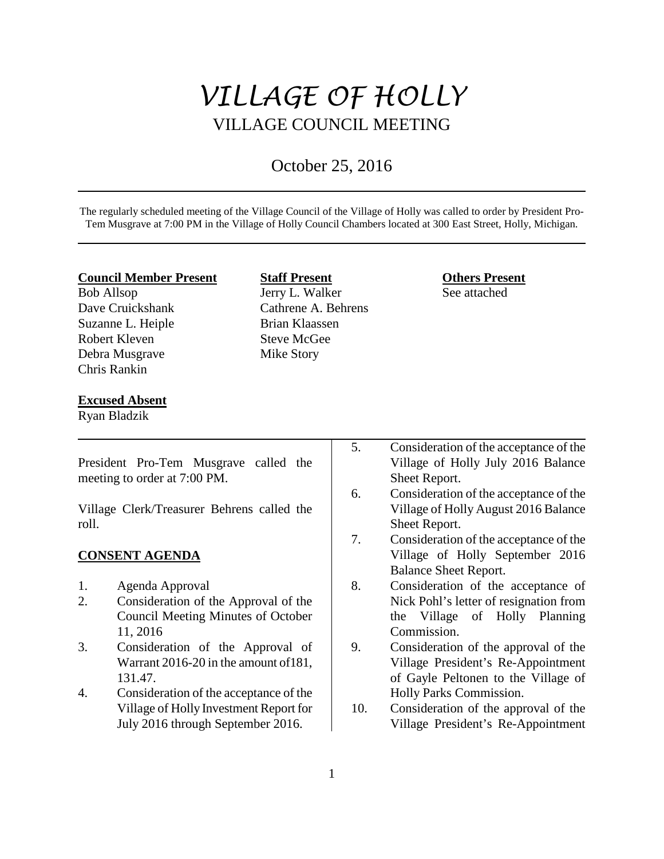# *VILLAGE OF HOLLY* VILLAGE COUNCIL MEETING

## October 25, 2016

The regularly scheduled meeting of the Village Council of the Village of Holly was called to order by President Pro-Tem Musgrave at 7:00 PM in the Village of Holly Council Chambers located at 300 East Street, Holly, Michigan.

#### **Council Member Present**

Bob Allsop Dave Cruickshank Suzanne L. Heiple Robert Kleven Debra Musgrave Chris Rankin

## **Staff Present** Jerry L. Walker Cathrene A. Behrens Brian Klaassen Steve McGee Mike Story

## **Others Present**

See attached

#### **Excused Absent**

Ryan Bladzik

President Pro-Tem Musgrave called the meeting to order at 7:00 PM. Village Clerk/Treasurer Behrens called the roll. **CONSENT AGENDA** 1. Agenda Approval 2. Consideration of the Approval of the Council Meeting Minutes of October 11, 2016 3. Consideration of the Approval of Warrant 2016-20 in the amount of181, 131.47. 4. Consideration of the acceptance of the Village of Holly Investment Report for July 2016 through September 2016. 5. Consideration of the acceptance of the Village of Holly July 2016 Balance Sheet Report. 6. Consideration of the acceptance of the Village of Holly August 2016 Balance Sheet Report. 7. Consideration of the acceptance of the Village of Holly September 2016 Balance Sheet Report. 8. Consideration of the acceptance of Nick Pohl's letter of resignation from the Village of Holly Planning Commission. 9. Consideration of the approval of the Village President's Re-Appointment of Gayle Peltonen to the Village of Holly Parks Commission. 10. Consideration of the approval of the Village President's Re-Appointment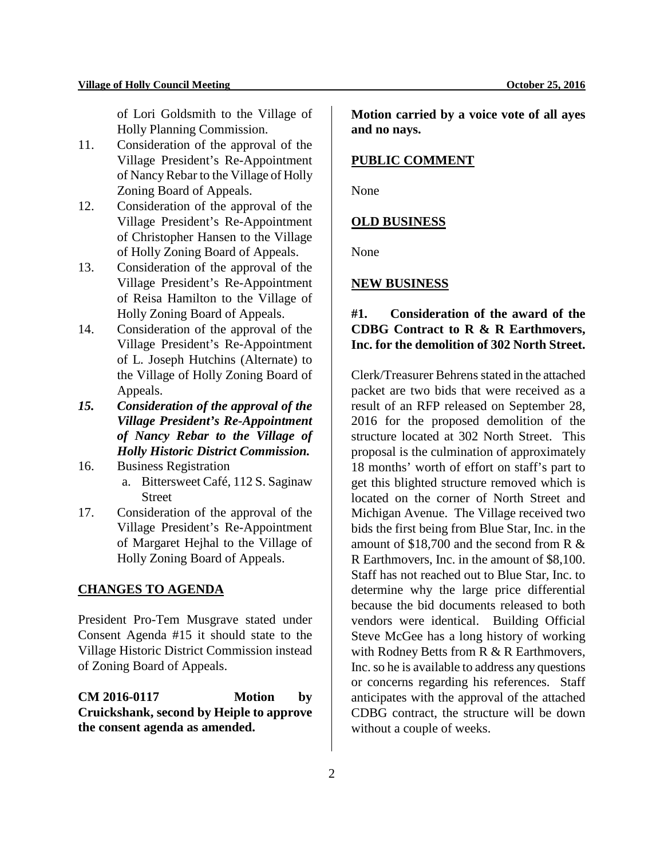of Lori Goldsmith to the Village of Holly Planning Commission.

- 11. Consideration of the approval of the Village President's Re-Appointment of Nancy Rebar to the Village of Holly Zoning Board of Appeals.
- 12. Consideration of the approval of the Village President's Re-Appointment of Christopher Hansen to the Village of Holly Zoning Board of Appeals.
- 13. Consideration of the approval of the Village President's Re-Appointment of Reisa Hamilton to the Village of Holly Zoning Board of Appeals.
- 14. Consideration of the approval of the Village President's Re-Appointment of L. Joseph Hutchins (Alternate) to the Village of Holly Zoning Board of Appeals.
- *15. Consideration of the approval of the Village President's Re-Appointment of Nancy Rebar to the Village of Holly Historic District Commission.*
- 16. Business Registration a. Bittersweet Café, 112 S. Saginaw **Street**
- 17. Consideration of the approval of the Village President's Re-Appointment of Margaret Hejhal to the Village of Holly Zoning Board of Appeals.

## **CHANGES TO AGENDA**

President Pro-Tem Musgrave stated under Consent Agenda #15 it should state to the Village Historic District Commission instead of Zoning Board of Appeals.

**CM 2016-0117 Motion by Cruickshank, second by Heiple to approve the consent agenda as amended.**

**Motion carried by a voice vote of all ayes and no nays.** 

### **PUBLIC COMMENT**

None

#### **OLD BUSINESS**

None

## **NEW BUSINESS**

## **#1. Consideration of the award of the CDBG Contract to R & R Earthmovers, Inc. for the demolition of 302 North Street.**

Clerk/Treasurer Behrens stated in the attached packet are two bids that were received as a result of an RFP released on September 28, 2016 for the proposed demolition of the structure located at 302 North Street. This proposal is the culmination of approximately 18 months' worth of effort on staff's part to get this blighted structure removed which is located on the corner of North Street and Michigan Avenue. The Village received two bids the first being from Blue Star, Inc. in the amount of \$18,700 and the second from R & R Earthmovers, Inc. in the amount of \$8,100. Staff has not reached out to Blue Star, Inc. to determine why the large price differential because the bid documents released to both vendors were identical. Building Official Steve McGee has a long history of working with Rodney Betts from R & R Earthmovers, Inc. so he is available to address any questions or concerns regarding his references. Staff anticipates with the approval of the attached CDBG contract, the structure will be down without a couple of weeks.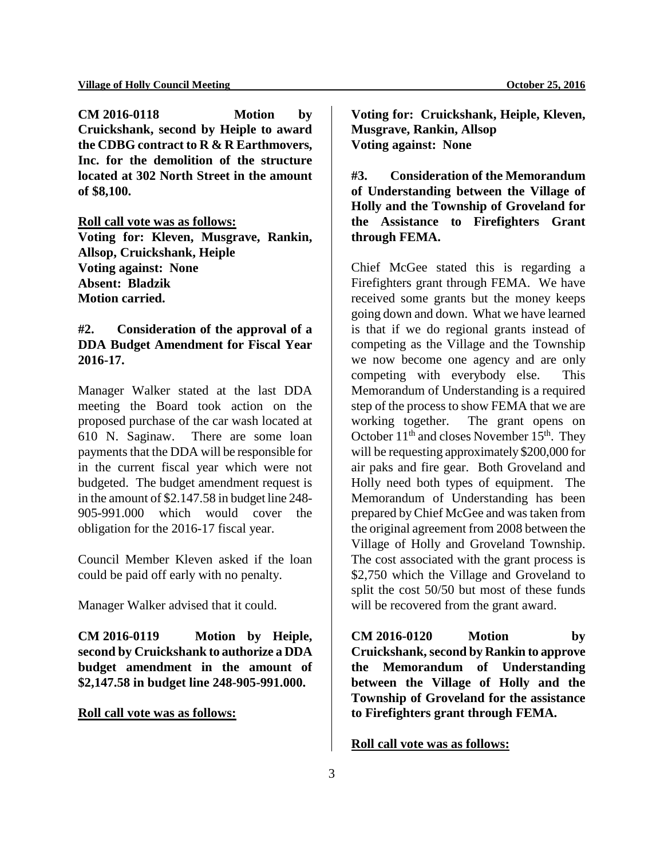**CM 2016-0118 Motion by Cruickshank, second by Heiple to award the CDBG contract to R & R Earthmovers, Inc. for the demolition of the structure located at 302 North Street in the amount of \$8,100.** 

#### **Roll call vote was as follows:**

**Voting for: Kleven, Musgrave, Rankin, Allsop, Cruickshank, Heiple Voting against: None Absent: Bladzik Motion carried.**

## **#2. Consideration of the approval of a DDA Budget Amendment for Fiscal Year 2016-17.**

Manager Walker stated at the last DDA meeting the Board took action on the proposed purchase of the car wash located at 610 N. Saginaw. There are some loan payments that the DDA will be responsible for in the current fiscal year which were not budgeted. The budget amendment request is in the amount of \$2.147.58 in budget line 248- 905-991.000 which would cover the obligation for the 2016-17 fiscal year.

Council Member Kleven asked if the loan could be paid off early with no penalty.

Manager Walker advised that it could.

**CM 2016-0119 Motion by Heiple, second by Cruickshank to authorize a DDA budget amendment in the amount of \$2,147.58 in budget line 248-905-991.000.**

## **Roll call vote was as follows:**

**Voting for: Cruickshank, Heiple, Kleven, Musgrave, Rankin, Allsop Voting against: None**

**#3. Consideration of the Memorandum of Understanding between the Village of Holly and the Township of Groveland for the Assistance to Firefighters Grant through FEMA.**

Chief McGee stated this is regarding a Firefighters grant through FEMA. We have received some grants but the money keeps going down and down. What we have learned is that if we do regional grants instead of competing as the Village and the Township we now become one agency and are only competing with everybody else. This Memorandum of Understanding is a required step of the process to show FEMA that we are working together. The grant opens on October  $11<sup>th</sup>$  and closes November  $15<sup>th</sup>$ . They will be requesting approximately \$200,000 for air paks and fire gear. Both Groveland and Holly need both types of equipment. The Memorandum of Understanding has been prepared by Chief McGee and was taken from the original agreement from 2008 between the Village of Holly and Groveland Township. The cost associated with the grant process is \$2,750 which the Village and Groveland to split the cost 50/50 but most of these funds will be recovered from the grant award.

**CM 2016-0120 Motion by Cruickshank, second by Rankin to approve the Memorandum of Understanding between the Village of Holly and the Township of Groveland for the assistance to Firefighters grant through FEMA.**

## **Roll call vote was as follows:**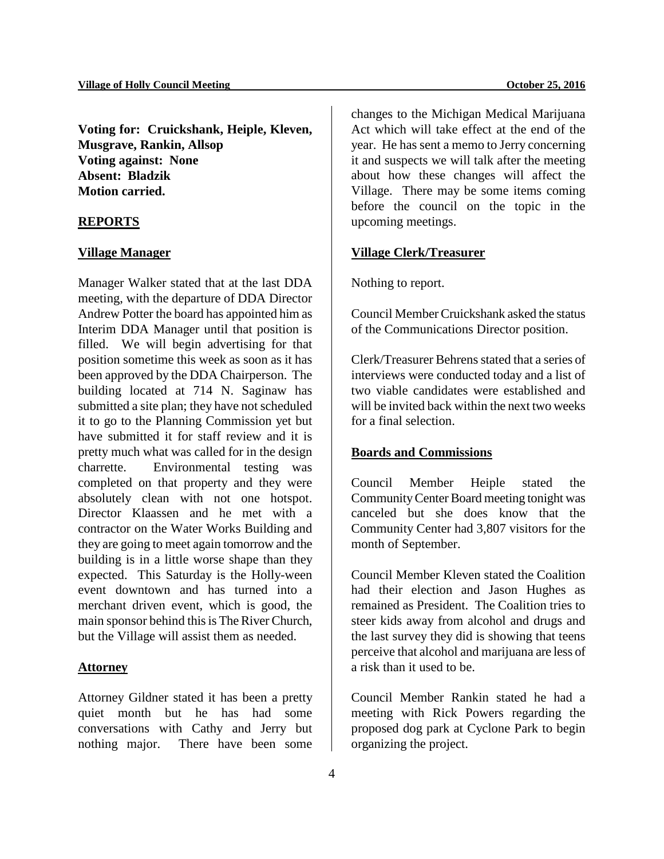**Voting for: Cruickshank, Heiple, Kleven, Musgrave, Rankin, Allsop Voting against: None Absent: Bladzik Motion carried.**

## **REPORTS**

#### **Village Manager**

Manager Walker stated that at the last DDA meeting, with the departure of DDA Director Andrew Potter the board has appointed him as Interim DDA Manager until that position is filled. We will begin advertising for that position sometime this week as soon as it has been approved by the DDA Chairperson. The building located at 714 N. Saginaw has submitted a site plan; they have not scheduled it to go to the Planning Commission yet but have submitted it for staff review and it is pretty much what was called for in the design charrette. Environmental testing was completed on that property and they were absolutely clean with not one hotspot. Director Klaassen and he met with a contractor on the Water Works Building and they are going to meet again tomorrow and the building is in a little worse shape than they expected. This Saturday is the Holly-ween event downtown and has turned into a merchant driven event, which is good, the main sponsor behind this is The River Church, but the Village will assist them as needed.

#### **Attorney**

Attorney Gildner stated it has been a pretty quiet month but he has had some conversations with Cathy and Jerry but nothing major. There have been some changes to the Michigan Medical Marijuana Act which will take effect at the end of the year. He has sent a memo to Jerry concerning it and suspects we will talk after the meeting about how these changes will affect the Village. There may be some items coming before the council on the topic in the upcoming meetings.

#### **Village Clerk/Treasurer**

Nothing to report.

Council Member Cruickshank asked the status of the Communications Director position.

Clerk/Treasurer Behrens stated that a series of interviews were conducted today and a list of two viable candidates were established and will be invited back within the next two weeks for a final selection.

#### **Boards and Commissions**

Council Member Heiple stated the Community Center Board meeting tonight was canceled but she does know that the Community Center had 3,807 visitors for the month of September.

Council Member Kleven stated the Coalition had their election and Jason Hughes as remained as President. The Coalition tries to steer kids away from alcohol and drugs and the last survey they did is showing that teens perceive that alcohol and marijuana are less of a risk than it used to be.

Council Member Rankin stated he had a meeting with Rick Powers regarding the proposed dog park at Cyclone Park to begin organizing the project.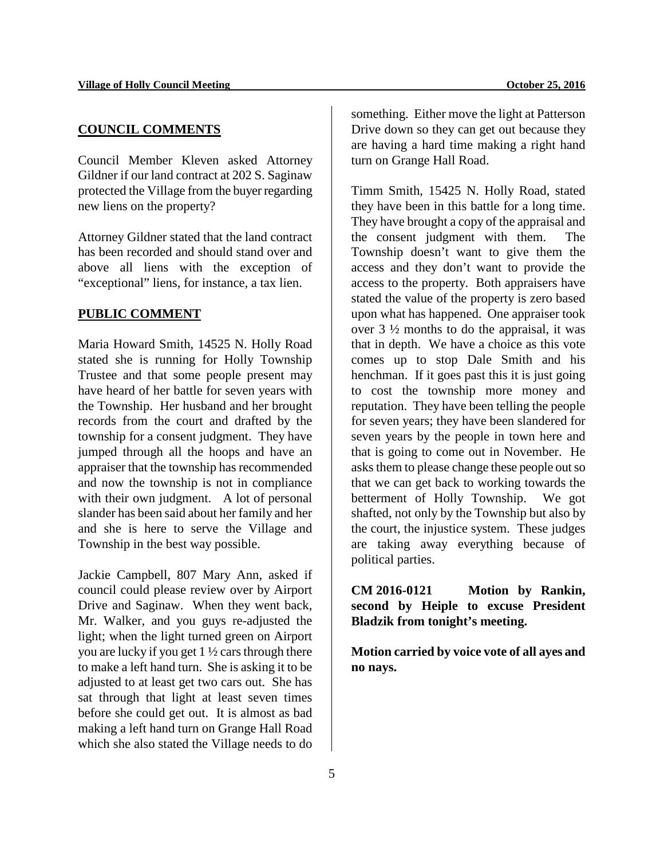## **COUNCIL COMMENTS**

Council Member Kleven asked Attorney Gildner if our land contract at 202 S. Saginaw protected the Village from the buyer regarding new liens on the property?

Attorney Gildner stated that the land contract has been recorded and should stand over and above all liens with the exception of "exceptional" liens, for instance, a tax lien.

#### **PUBLIC COMMENT**

Maria Howard Smith, 14525 N. Holly Road stated she is running for Holly Township Trustee and that some people present may have heard of her battle for seven years with the Township. Her husband and her brought records from the court and drafted by the township for a consent judgment. They have jumped through all the hoops and have an appraiser that the township has recommended and now the township is not in compliance with their own judgment. A lot of personal slander has been said about her family and her and she is here to serve the Village and Township in the best way possible.

Jackie Campbell, 807 Mary Ann, asked if council could please review over by Airport Drive and Saginaw. When they went back, Mr. Walker, and you guys re-adjusted the light; when the light turned green on Airport you are lucky if you get 1 ½ cars through there to make a left hand turn. She is asking it to be adjusted to at least get two cars out. She has sat through that light at least seven times before she could get out. It is almost as bad making a left hand turn on Grange Hall Road which she also stated the Village needs to do

something. Either move the light at Patterson Drive down so they can get out because they are having a hard time making a right hand turn on Grange Hall Road.

Timm Smith, 15425 N. Holly Road, stated they have been in this battle for a long time. They have brought a copy of the appraisal and the consent judgment with them. The Township doesn't want to give them the access and they don't want to provide the access to the property. Both appraisers have stated the value of the property is zero based upon what has happened. One appraiser took over  $3\frac{1}{2}$  months to do the appraisal, it was that in depth. We have a choice as this vote comes up to stop Dale Smith and his henchman. If it goes past this it is just going to cost the township more money and reputation. They have been telling the people for seven years; they have been slandered for seven years by the people in town here and that is going to come out in November. He asks them to please change these people out so that we can get back to working towards the betterment of Holly Township. We got shafted, not only by the Township but also by the court, the injustice system. These judges are taking away everything because of political parties.

**CM 2016-0121 Motion by Rankin, second by Heiple to excuse President Bladzik from tonight's meeting.**

**Motion carried by voice vote of all ayes and no nays.**